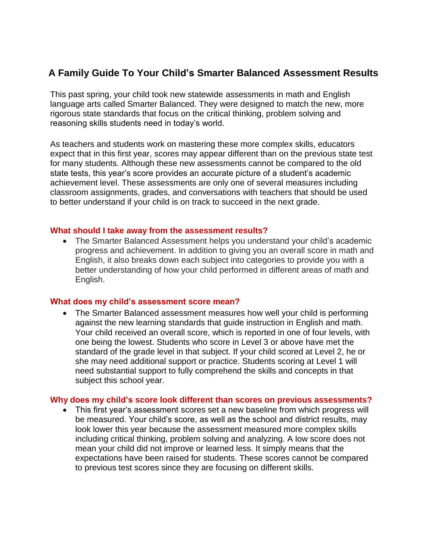# **A Family Guide To Your Child's Smarter Balanced Assessment Results**

This past spring, your child took new statewide assessments in math and English language arts called Smarter Balanced. They were designed to match the new, more rigorous state standards that focus on the critical thinking, problem solving and reasoning skills students need in today's world.

As teachers and students work on mastering these more complex skills, educators expect that in this first year, scores may appear different than on the previous state test for many students. Although these new assessments cannot be compared to the old state tests, this year's score provides an accurate picture of a student's academic achievement level. These assessments are only one of several measures including classroom assignments, grades, and conversations with teachers that should be used to better understand if your child is on track to succeed in the next grade.

## **What should I take away from the assessment results?**

 The Smarter Balanced Assessment helps you understand your child's academic progress and achievement. In addition to giving you an overall score in math and English, it also breaks down each subject into categories to provide you with a better understanding of how your child performed in different areas of math and English.

## **What does my child's assessment score mean?**

• The Smarter Balanced assessment measures how well your child is performing against the new learning standards that guide instruction in English and math. Your child received an overall score, which is reported in one of four levels, with one being the lowest. Students who score in Level 3 or above have met the standard of the grade level in that subject. If your child scored at Level 2, he or she may need additional support or practice. Students scoring at Level 1 will need substantial support to fully comprehend the skills and concepts in that subject this school year.

# **Why does my child's score look different than scores on previous assessments?**

 This first year's assessment scores set a new baseline from which progress will be measured. Your child's score, as well as the school and district results, may look lower this year because the assessment measured more complex skills including critical thinking, problem solving and analyzing. A low score does not mean your child did not improve or learned less. It simply means that the expectations have been raised for students. These scores cannot be compared to previous test scores since they are focusing on different skills.